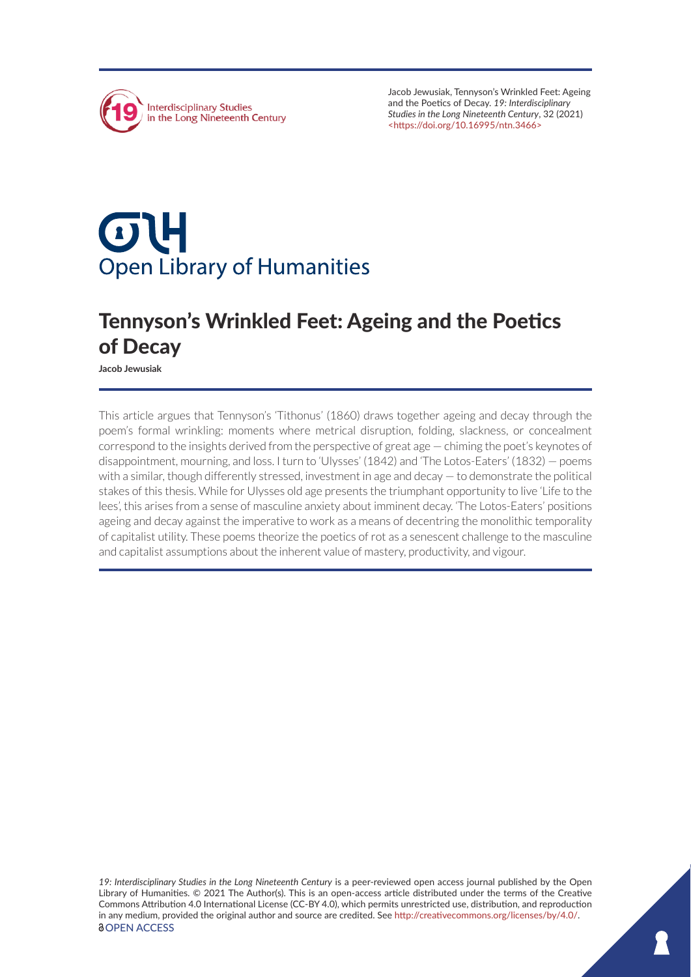

Jacob Jewusiak, Tennyson's Wrinkled Feet: Ageing and the Poetics of Decay. *19: Interdisciplinary Studies in the Long Nineteenth Century*, 32 (2021) <<https://doi.org/10.16995/ntn.3466>>

# $\sigma$ U **Open Library of Humanities**

# Tennyson's Wrinkled Feet: Ageing and the Poetics of Decay

**Jacob Jewusiak**

This article argues that Tennyson's 'Tithonus' (1860) draws together ageing and decay through the poem's formal wrinkling: moments where metrical disruption, folding, slackness, or concealment correspond to the insights derived from the perspective of great age — chiming the poet's keynotes of disappointment, mourning, and loss. I turn to 'Ulysses' (1842) and 'The Lotos-Eaters' (1832) — poems with a similar, though differently stressed, investment in age and decay — to demonstrate the political stakes of this thesis. While for Ulysses old age presents the triumphant opportunity to live 'Life to the lees', this arises from a sense of masculine anxiety about imminent decay. 'The Lotos-Eaters' positions ageing and decay against the imperative to work as a means of decentring the monolithic temporality of capitalist utility. These poems theorize the poetics of rot as a senescent challenge to the masculine and capitalist assumptions about the inherent value of mastery, productivity, and vigour.

*19: Interdisciplinary Studies in the Long Nineteenth Century* is a peer-reviewed open access journal published by the Open Library of Humanities. © 2021 The Author(s). This is an open-access article distributed under the terms of the Creative Commons Attribution 4.0 International License (CC-BY 4.0), which permits unrestricted use, distribution, and reproduction in any medium, provided the original author and source are credited. See [http://creativecommons.org/licenses/by/4.0/.](http://creativecommons.org/licenses/by/4.0/) *<u>OOPEN ACCESS</u>*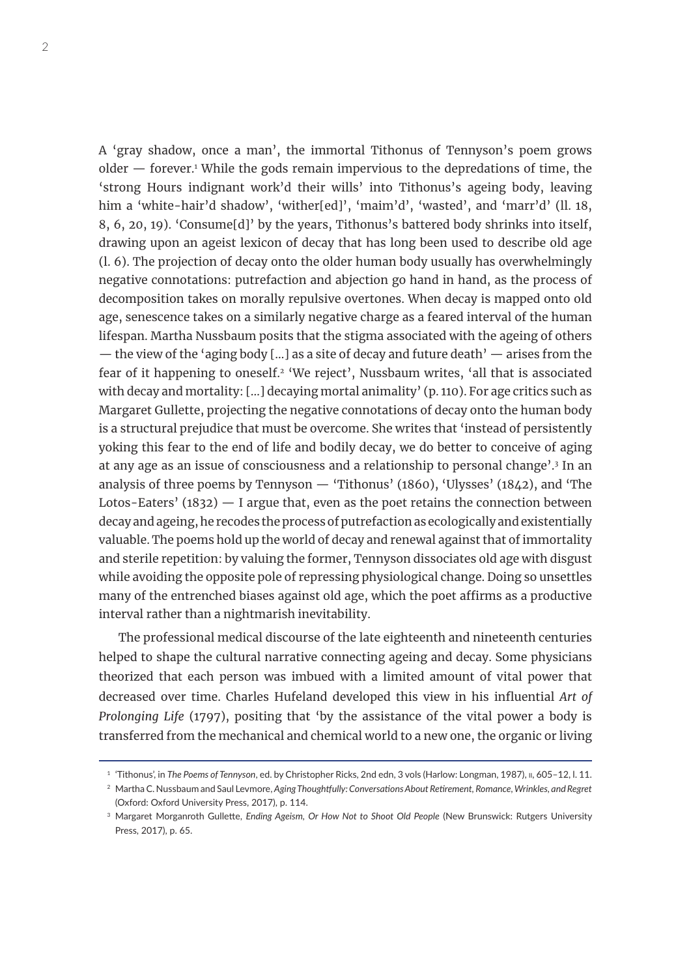A 'gray shadow, once a man', the immortal Tithonus of Tennyson's poem grows older — forever.<sup>1</sup> While the gods remain impervious to the depredations of time, the 'strong Hours indignant work'd their wills' into Tithonus's ageing body, leaving him a 'white-hair'd shadow', 'wither[ed]', 'maim'd', 'wasted', and 'marr'd' (ll. 18, 8, 6, 20, 19). 'Consume[d]' by the years, Tithonus's battered body shrinks into itself, drawing upon an ageist lexicon of decay that has long been used to describe old age (l. 6). The projection of decay onto the older human body usually has overwhelmingly negative connotations: putrefaction and abjection go hand in hand, as the process of decomposition takes on morally repulsive overtones. When decay is mapped onto old age, senescence takes on a similarly negative charge as a feared interval of the human lifespan. Martha Nussbaum posits that the stigma associated with the ageing of others — the view of the 'aging body […] as a site of decay and future death' — arises from the fear of it happening to oneself.<sup>2</sup> 'We reject', Nussbaum writes, 'all that is associated with decay and mortality: […] decaying mortal animality' (p. 110). For age critics such as Margaret Gullette, projecting the negative connotations of decay onto the human body is a structural prejudice that must be overcome. She writes that 'instead of persistently yoking this fear to the end of life and bodily decay, we do better to conceive of aging at any age as an issue of consciousness and a relationship to personal change'.<sup>3</sup> In an analysis of three poems by Tennyson  $-$  'Tithonus' (1860), 'Ulysses' (1842), and 'The Lotos-Eaters'  $(1832)$   $-$  I argue that, even as the poet retains the connection between decay and ageing, he recodes the process of putrefaction as ecologically and existentially valuable. The poems hold up the world of decay and renewal against that of immortality and sterile repetition: by valuing the former, Tennyson dissociates old age with disgust while avoiding the opposite pole of repressing physiological change. Doing so unsettles many of the entrenched biases against old age, which the poet affirms as a productive interval rather than a nightmarish inevitability.

The professional medical discourse of the late eighteenth and nineteenth centuries helped to shape the cultural narrative connecting ageing and decay. Some physicians theorized that each person was imbued with a limited amount of vital power that decreased over time. Charles Hufeland developed this view in his influential *Art of Prolonging Life* (1797), positing that 'by the assistance of the vital power a body is transferred from the mechanical and chemical world to a new one, the organic or living

<sup>1</sup> 'Tithonus', in *The Poems of Tennyson*, ed. by Christopher Ricks, 2nd edn, 3 vols (Harlow: Longman, 1987), ii, 605–12, l. 11.

<sup>2</sup> Martha C. Nussbaum and Saul Levmore, *Aging Thoughtfully: Conversations About Retirement, Romance, Wrinkles, and Regret* (Oxford: Oxford University Press, 2017), p. 114.

<sup>3</sup> Margaret Morganroth Gullette, *Ending Ageism, Or How Not to Shoot Old People* (New Brunswick: Rutgers University Press, 2017), p. 65.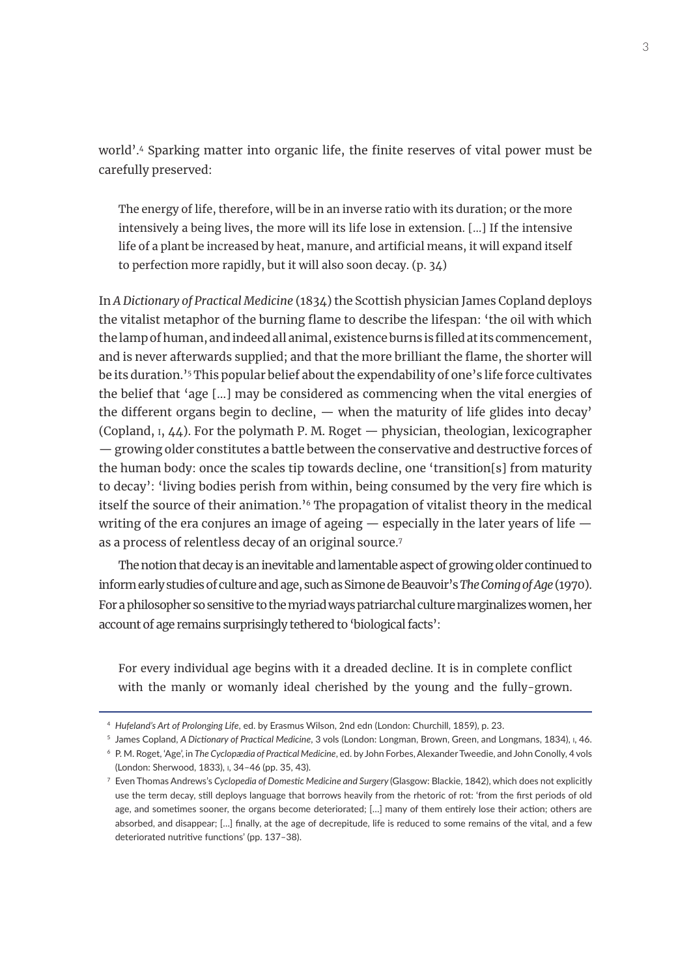world'.4 Sparking matter into organic life, the finite reserves of vital power must be carefully preserved:

The energy of life, therefore, will be in an inverse ratio with its duration; or the more intensively a being lives, the more will its life lose in extension. […] If the intensive life of a plant be increased by heat, manure, and artificial means, it will expand itself to perfection more rapidly, but it will also soon decay. (p. 34)

In *A Dictionary of Practical Medicine* (1834) the Scottish physician James Copland deploys the vitalist metaphor of the burning flame to describe the lifespan: 'the oil with which the lamp of human, and indeed all animal, existence burns is filled at its commencement, and is never afterwards supplied; and that the more brilliant the flame, the shorter will be its duration.'5 This popular belief about the expendability of one's life force cultivates the belief that 'age […] may be considered as commencing when the vital energies of the different organs begin to decline, — when the maturity of life glides into decay' (Copland, i, 44). For the polymath P. M. Roget — physician, theologian, lexicographer — growing older constitutes a battle between the conservative and destructive forces of the human body: once the scales tip towards decline, one 'transition[s] from maturity to decay': 'living bodies perish from within, being consumed by the very fire which is itself the source of their animation.'6 The propagation of vitalist theory in the medical writing of the era conjures an image of ageing — especially in the later years of life as a process of relentless decay of an original source.7

The notion that decay is an inevitable and lamentable aspect of growing older continued to inform early studies of culture and age, such as Simone de Beauvoir's *The Coming of Age* (1970). For a philosopher so sensitive to the myriad ways patriarchal culture marginalizes women, her account of age remains surprisingly tethered to 'biological facts':

For every individual age begins with it a dreaded decline. It is in complete conflict with the manly or womanly ideal cherished by the young and the fully-grown.

<sup>4</sup> *Hufeland's Art of Prolonging Life*, ed. by Erasmus Wilson, 2nd edn (London: Churchill, 1859), p. 23.

<sup>5</sup> James Copland, *A Dictionary of Practical Medicine*, 3 vols (London: Longman, Brown, Green, and Longmans, 1834), i, 46.

<sup>6</sup> P. M. Roget, 'Age', in *The Cyclopædia of Practical Medicine*, ed. by John Forbes, Alexander Tweedie, and John Conolly, 4 vols (London: Sherwood, 1833), i, 34–46 (pp. 35, 43).

<sup>7</sup> Even Thomas Andrews's *Cyclopedia of Domestic Medicine and Surgery* (Glasgow: Blackie, 1842), which does not explicitly use the term decay, still deploys language that borrows heavily from the rhetoric of rot: 'from the first periods of old age, and sometimes sooner, the organs become deteriorated; […] many of them entirely lose their action; others are absorbed, and disappear; […] finally, at the age of decrepitude, life is reduced to some remains of the vital, and a few deteriorated nutritive functions' (pp. 137–38).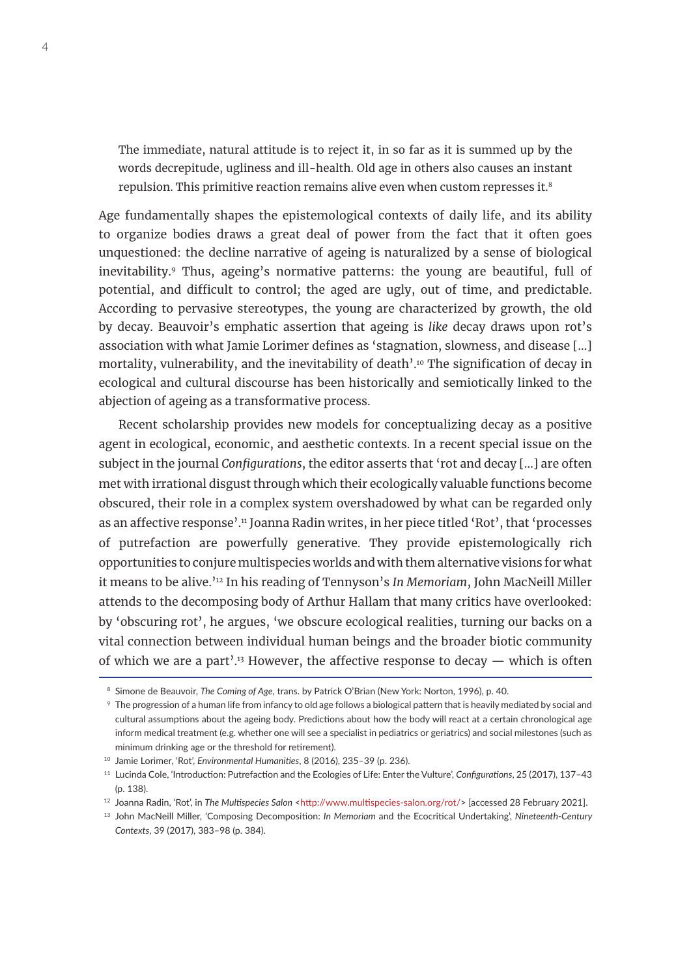The immediate, natural attitude is to reject it, in so far as it is summed up by the words decrepitude, ugliness and ill-health. Old age in others also causes an instant repulsion. This primitive reaction remains alive even when custom represses it.8

Age fundamentally shapes the epistemological contexts of daily life, and its ability to organize bodies draws a great deal of power from the fact that it often goes unquestioned: the decline narrative of ageing is naturalized by a sense of biological inevitability.<sup>9</sup> Thus, ageing's normative patterns: the young are beautiful, full of potential, and difficult to control; the aged are ugly, out of time, and predictable. According to pervasive stereotypes, the young are characterized by growth, the old by decay. Beauvoir's emphatic assertion that ageing is *like* decay draws upon rot's association with what Jamie Lorimer defines as 'stagnation, slowness, and disease […] mortality, vulnerability, and the inevitability of death'.<sup>10</sup> The signification of decay in ecological and cultural discourse has been historically and semiotically linked to the abjection of ageing as a transformative process.

Recent scholarship provides new models for conceptualizing decay as a positive agent in ecological, economic, and aesthetic contexts. In a recent special issue on the subject in the journal *Configurations*, the editor asserts that 'rot and decay […] are often met with irrational disgust through which their ecologically valuable functions become obscured, their role in a complex system overshadowed by what can be regarded only as an affective response'.<sup>11</sup> Joanna Radin writes, in her piece titled 'Rot', that 'processes of putrefaction are powerfully generative. They provide epistemologically rich opportunities to conjure multispecies worlds and with them alternative visions for what it means to be alive.'12 In his reading of Tennyson's *In Memoriam*, John MacNeill Miller attends to the decomposing body of Arthur Hallam that many critics have overlooked: by 'obscuring rot', he argues, 'we obscure ecological realities, turning our backs on a vital connection between individual human beings and the broader biotic community of which we are a part'.<sup>13</sup> However, the affective response to decay  $-$  which is often

<sup>8</sup> Simone de Beauvoir, *The Coming of Age*, trans. by Patrick O'Brian (New York: Norton, 1996), p. 40.

<sup>9</sup> The progression of a human life from infancy to old age follows a biological pattern that is heavily mediated by social and cultural assumptions about the ageing body. Predictions about how the body will react at a certain chronological age inform medical treatment (e.g. whether one will see a specialist in pediatrics or geriatrics) and social milestones (such as minimum drinking age or the threshold for retirement).

<sup>10</sup> Jamie Lorimer, 'Rot', *Environmental Humanities*, 8 (2016), 235–39 (p. 236).

<sup>11</sup> Lucinda Cole, 'Introduction: Putrefaction and the Ecologies of Life: Enter the Vulture', *Configurations*, 25 (2017), 137–43 (p. 138).

<sup>&</sup>lt;sup>12</sup> Joanna Radin, 'Rot', in The Multispecies Salon <<http://www.multispecies-salon.org/rot/>> [accessed 28 February 2021].

<sup>13</sup> John MacNeill Miller, 'Composing Decomposition: *In Memoriam* and the Ecocritical Undertaking', *Nineteenth-Century Contexts*, 39 (2017), 383–98 (p. 384).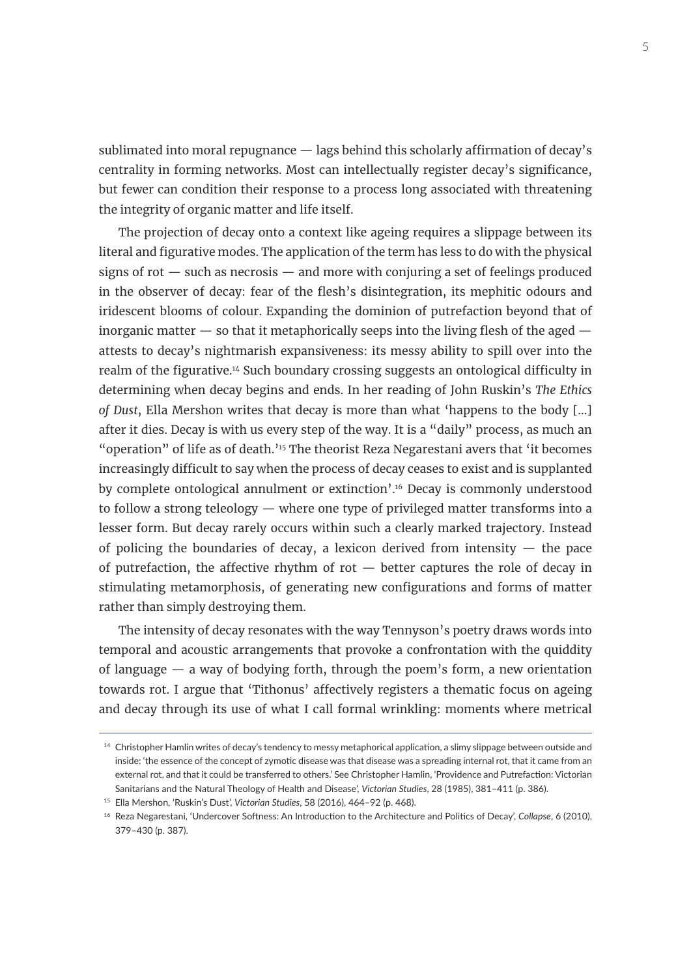sublimated into moral repugnance — lags behind this scholarly affirmation of decay's centrality in forming networks. Most can intellectually register decay's significance, but fewer can condition their response to a process long associated with threatening the integrity of organic matter and life itself.

The projection of decay onto a context like ageing requires a slippage between its literal and figurative modes. The application of the term has less to do with the physical signs of rot  $-$  such as necrosis  $-$  and more with conjuring a set of feelings produced in the observer of decay: fear of the flesh's disintegration, its mephitic odours and iridescent blooms of colour. Expanding the dominion of putrefaction beyond that of inorganic matter  $-$  so that it metaphorically seeps into the living flesh of the aged  $$ attests to decay's nightmarish expansiveness: its messy ability to spill over into the realm of the figurative.14 Such boundary crossing suggests an ontological difficulty in determining when decay begins and ends. In her reading of John Ruskin's *The Ethics of Dust*, Ella Mershon writes that decay is more than what 'happens to the body […] after it dies. Decay is with us every step of the way. It is a "daily" process, as much an "operation" of life as of death.'<sup>15</sup> The theorist Reza Negarestani avers that 'it becomes increasingly difficult to say when the process of decay ceases to exist and is supplanted by complete ontological annulment or extinction'.16 Decay is commonly understood to follow a strong teleology — where one type of privileged matter transforms into a lesser form. But decay rarely occurs within such a clearly marked trajectory. Instead of policing the boundaries of decay, a lexicon derived from intensity  $-$  the pace of putrefaction, the affective rhythm of rot  $-$  better captures the role of decay in stimulating metamorphosis, of generating new configurations and forms of matter rather than simply destroying them.

The intensity of decay resonates with the way Tennyson's poetry draws words into temporal and acoustic arrangements that provoke a confrontation with the quiddity of language — a way of bodying forth, through the poem's form, a new orientation towards rot. I argue that 'Tithonus' affectively registers a thematic focus on ageing and decay through its use of what I call formal wrinkling: moments where metrical

<sup>&</sup>lt;sup>14</sup> Christopher Hamlin writes of decay's tendency to messy metaphorical application, a slimy slippage between outside and inside: 'the essence of the concept of zymotic disease was that disease was a spreading internal rot, that it came from an external rot, and that it could be transferred to others.' See Christopher Hamlin, 'Providence and Putrefaction: Victorian Sanitarians and the Natural Theology of Health and Disease', *Victorian Studies*, 28 (1985), 381–411 (p. 386).

<sup>15</sup> Ella Mershon, 'Ruskin's Dust', *Victorian Studies*, 58 (2016), 464–92 (p. 468).

<sup>16</sup> Reza Negarestani, 'Undercover Softness: An Introduction to the Architecture and Politics of Decay', *Collapse*, 6 (2010), 379–430 (p. 387).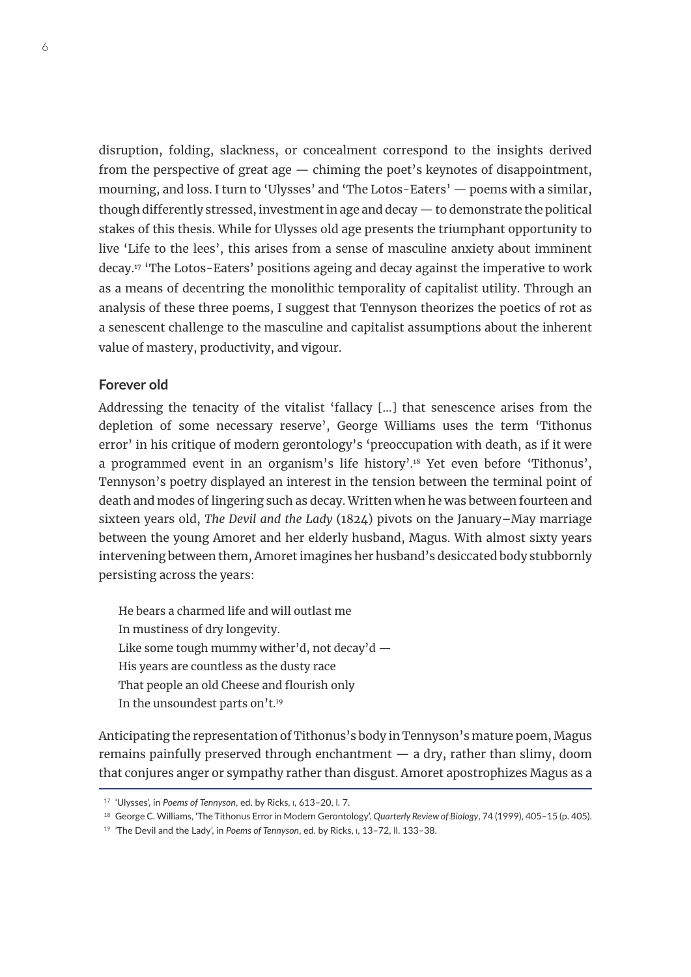disruption, folding, slackness, or concealment correspond to the insights derived from the perspective of great age — chiming the poet's keynotes of disappointment, mourning, and loss. I turn to 'Ulysses' and 'The Lotos-Eaters' — poems with a similar, though differently stressed, investment in age and decay — to demonstrate the political stakes of this thesis. While for Ulysses old age presents the triumphant opportunity to live 'Life to the lees', this arises from a sense of masculine anxiety about imminent decay.17 'The Lotos-Eaters' positions ageing and decay against the imperative to work as a means of decentring the monolithic temporality of capitalist utility. Through an analysis of these three poems, I suggest that Tennyson theorizes the poetics of rot as a senescent challenge to the masculine and capitalist assumptions about the inherent value of mastery, productivity, and vigour.

#### **Forever old**

Addressing the tenacity of the vitalist 'fallacy […] that senescence arises from the depletion of some necessary reserve', George Williams uses the term 'Tithonus error' in his critique of modern gerontology's 'preoccupation with death, as if it were a programmed event in an organism's life history'.18 Yet even before 'Tithonus', Tennyson's poetry displayed an interest in the tension between the terminal point of death and modes of lingering such as decay. Written when he was between fourteen and sixteen years old, *The Devil and the Lady* (1824) pivots on the January–May marriage between the young Amoret and her elderly husband, Magus. With almost sixty years intervening between them, Amoret imagines her husband's desiccated body stubbornly persisting across the years:

He bears a charmed life and will outlast me In mustiness of dry longevity. Like some tough mummy wither'd, not decay'd  $-$ His years are countless as the dusty race That people an old Cheese and flourish only In the unsoundest parts on't.19

Anticipating the representation of Tithonus's body in Tennyson's mature poem, Magus remains painfully preserved through enchantment — a dry, rather than slimy, doom that conjures anger or sympathy rather than disgust. Amoret apostrophizes Magus as a

<sup>17</sup> 'Ulysses', in *Poems of Tennyson*, ed. by Ricks, i, 613–20, l. 7.

<sup>18</sup> George C. Williams, 'The Tithonus Error in Modern Gerontology', *Quarterly Review of Biology*, 74 (1999), 405–15 (p. 405).

<sup>19</sup> 'The Devil and the Lady', in *Poems of Tennyson*, ed. by Ricks, i, 13–72, ll. 133–38.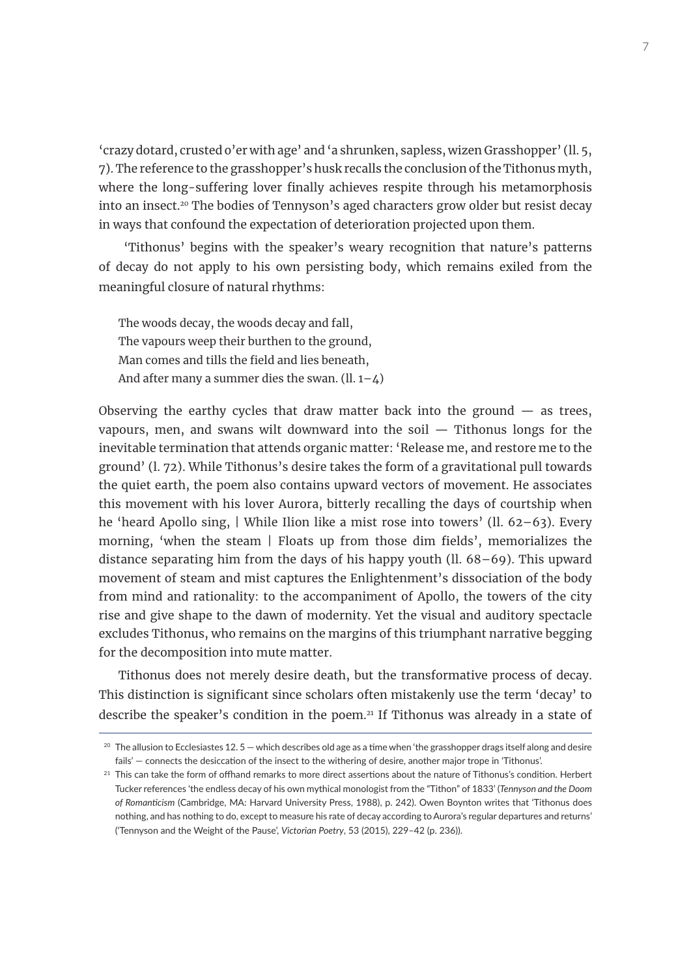'crazy dotard, crusted o'er with age' and 'a shrunken, sapless, wizen Grasshopper' (ll. 5, 7). The reference to the grasshopper's husk recalls the conclusion of the Tithonus myth, where the long-suffering lover finally achieves respite through his metamorphosis into an insect.20 The bodies of Tennyson's aged characters grow older but resist decay in ways that confound the expectation of deterioration projected upon them.

 'Tithonus' begins with the speaker's weary recognition that nature's patterns of decay do not apply to his own persisting body, which remains exiled from the meaningful closure of natural rhythms:

The woods decay, the woods decay and fall, The vapours weep their burthen to the ground, Man comes and tills the field and lies beneath, And after many a summer dies the swan.  $(ll. 1-4)$ 

Observing the earthy cycles that draw matter back into the ground  $-$  as trees, vapours, men, and swans wilt downward into the soil — Tithonus longs for the inevitable termination that attends organic matter: 'Release me, and restore me to the ground' (l. 72). While Tithonus's desire takes the form of a gravitational pull towards the quiet earth, the poem also contains upward vectors of movement. He associates this movement with his lover Aurora, bitterly recalling the days of courtship when he 'heard Apollo sing, | While Ilion like a mist rose into towers' (ll. 62–63). Every morning, 'when the steam | Floats up from those dim fields', memorializes the distance separating him from the days of his happy youth (ll. 68–69). This upward movement of steam and mist captures the Enlightenment's dissociation of the body from mind and rationality: to the accompaniment of Apollo, the towers of the city rise and give shape to the dawn of modernity. Yet the visual and auditory spectacle excludes Tithonus, who remains on the margins of this triumphant narrative begging for the decomposition into mute matter.

Tithonus does not merely desire death, but the transformative process of decay. This distinction is significant since scholars often mistakenly use the term 'decay' to describe the speaker's condition in the poem.<sup>21</sup> If Tithonus was already in a state of

 $20$  The allusion to Ecclesiastes 12, 5 — which describes old age as a time when 'the grasshopper drags itself along and desire fails' — connects the desiccation of the insect to the withering of desire, another major trope in 'Tithonus'.

 $21$  This can take the form of offhand remarks to more direct assertions about the nature of Tithonus's condition. Herbert Tucker references 'the endless decay of his own mythical monologist from the "Tithon" of 1833' (*Tennyson and the Doom of Romanticism* (Cambridge, MA: Harvard University Press, 1988), p. 242). Owen Boynton writes that 'Tithonus does nothing, and has nothing to do, except to measure his rate of decay according to Aurora's regular departures and returns' ('Tennyson and the Weight of the Pause', *Victorian Poetry*, 53 (2015), 229–42 (p. 236)).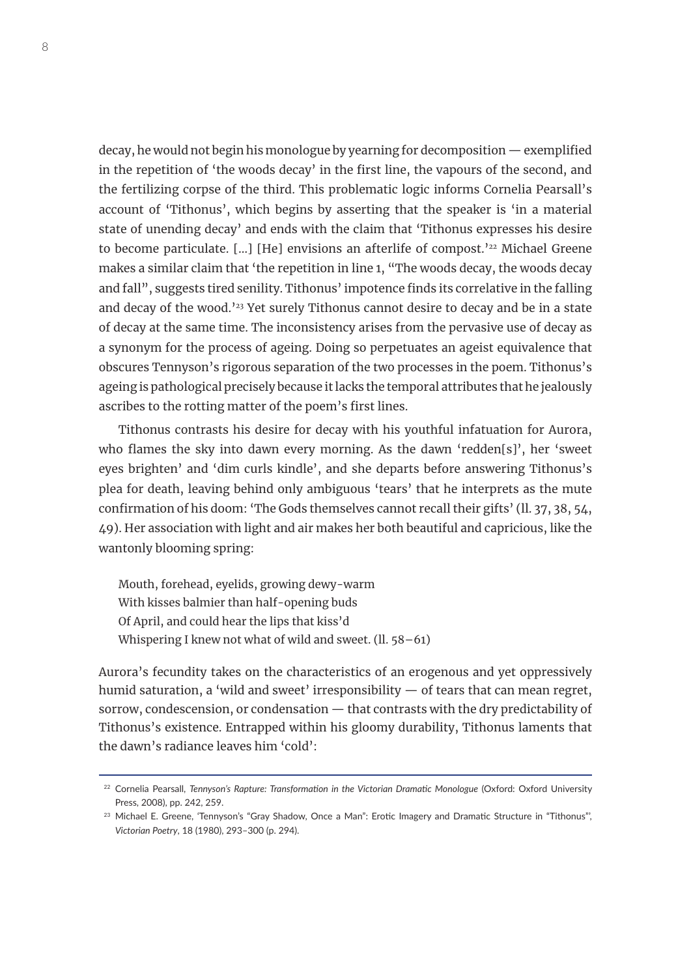decay, he would not begin his monologue by yearning for decomposition — exemplified in the repetition of 'the woods decay' in the first line, the vapours of the second, and the fertilizing corpse of the third. This problematic logic informs Cornelia Pearsall's account of 'Tithonus', which begins by asserting that the speaker is 'in a material state of unending decay' and ends with the claim that 'Tithonus expresses his desire to become particulate. [...] [He] envisions an afterlife of compost.<sup>'22</sup> Michael Greene makes a similar claim that 'the repetition in line 1, "The woods decay, the woods decay and fall", suggests tired senility. Tithonus' impotence finds its correlative in the falling and decay of the wood.<sup>123</sup> Yet surely Tithonus cannot desire to decay and be in a state of decay at the same time. The inconsistency arises from the pervasive use of decay as a synonym for the process of ageing. Doing so perpetuates an ageist equivalence that obscures Tennyson's rigorous separation of the two processes in the poem. Tithonus's ageing is pathological precisely because it lacks the temporal attributes that he jealously ascribes to the rotting matter of the poem's first lines.

Tithonus contrasts his desire for decay with his youthful infatuation for Aurora, who flames the sky into dawn every morning. As the dawn 'redden[s]', her 'sweet eyes brighten' and 'dim curls kindle', and she departs before answering Tithonus's plea for death, leaving behind only ambiguous 'tears' that he interprets as the mute confirmation of his doom: 'The Gods themselves cannot recall their gifts' (ll. 37, 38, 54, 49). Her association with light and air makes her both beautiful and capricious, like the wantonly blooming spring:

Mouth, forehead, eyelids, growing dewy-warm With kisses balmier than half-opening buds Of April, and could hear the lips that kiss'd Whispering I knew not what of wild and sweet. (ll. 58–61)

Aurora's fecundity takes on the characteristics of an erogenous and yet oppressively humid saturation, a 'wild and sweet' irresponsibility  $-$  of tears that can mean regret, sorrow, condescension, or condensation — that contrasts with the dry predictability of Tithonus's existence. Entrapped within his gloomy durability, Tithonus laments that the dawn's radiance leaves him 'cold':

<sup>22</sup> Cornelia Pearsall, *Tennyson's Rapture: Transformation in the Victorian Dramatic Monologue* (Oxford: Oxford University Press, 2008), pp. 242, 259.

<sup>&</sup>lt;sup>23</sup> Michael E. Greene, 'Tennyson's "Gray Shadow, Once a Man": Erotic Imagery and Dramatic Structure in "Tithonus", *Victorian Poetry*, 18 (1980), 293–300 (p. 294).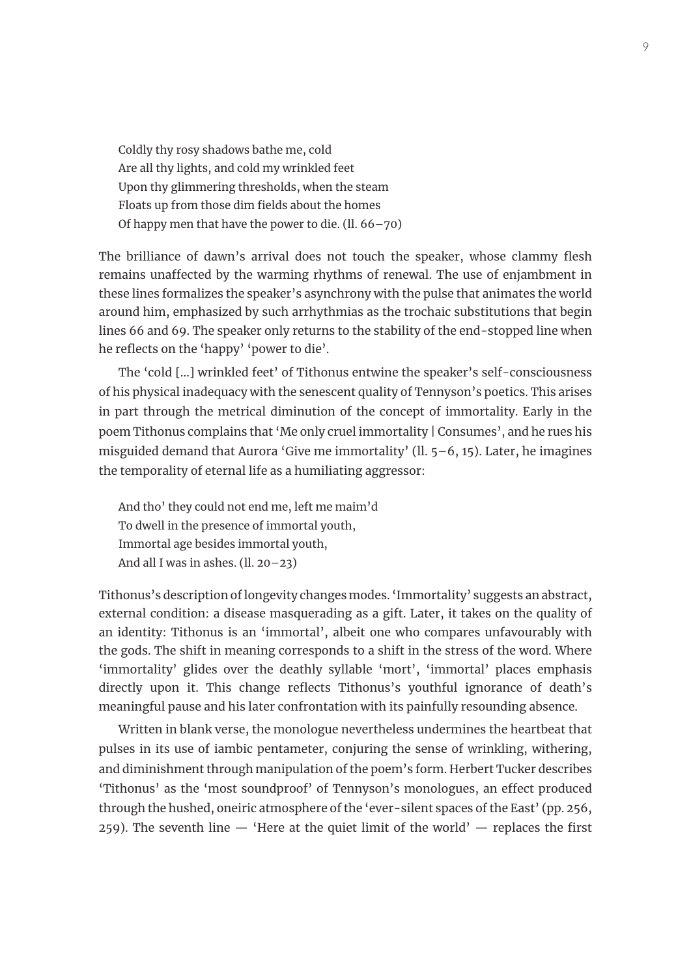Coldly thy rosy shadows bathe me, cold Are all thy lights, and cold my wrinkled feet Upon thy glimmering thresholds, when the steam Floats up from those dim fields about the homes Of happy men that have the power to die. (ll. 66–70)

The brilliance of dawn's arrival does not touch the speaker, whose clammy flesh remains unaffected by the warming rhythms of renewal. The use of enjambment in these lines formalizes the speaker's asynchrony with the pulse that animates the world around him, emphasized by such arrhythmias as the trochaic substitutions that begin lines 66 and 69. The speaker only returns to the stability of the end-stopped line when he reflects on the 'happy' 'power to die'.

The 'cold […] wrinkled feet' of Tithonus entwine the speaker's self-consciousness of his physical inadequacy with the senescent quality of Tennyson's poetics. This arises in part through the metrical diminution of the concept of immortality. Early in the poem Tithonus complains that 'Me only cruel immortality | Consumes', and he rues his misguided demand that Aurora 'Give me immortality' (ll. 5–6, 15). Later, he imagines the temporality of eternal life as a humiliating aggressor:

And tho' they could not end me, left me maim'd To dwell in the presence of immortal youth, Immortal age besides immortal youth, And all I was in ashes. (ll. 20–23)

Tithonus's description of longevity changes modes. 'Immortality' suggests an abstract, external condition: a disease masquerading as a gift. Later, it takes on the quality of an identity: Tithonus is an 'immortal', albeit one who compares unfavourably with the gods. The shift in meaning corresponds to a shift in the stress of the word. Where 'immortality' glides over the deathly syllable 'mort', 'immortal' places emphasis directly upon it. This change reflects Tithonus's youthful ignorance of death's meaningful pause and his later confrontation with its painfully resounding absence.

Written in blank verse, the monologue nevertheless undermines the heartbeat that pulses in its use of iambic pentameter, conjuring the sense of wrinkling, withering, and diminishment through manipulation of the poem's form. Herbert Tucker describes 'Tithonus' as the 'most soundproof' of Tennyson's monologues, an effect produced through the hushed, oneiric atmosphere of the 'ever-silent spaces of the East' (pp. 256, 259). The seventh line  $-$  'Here at the quiet limit of the world'  $-$  replaces the first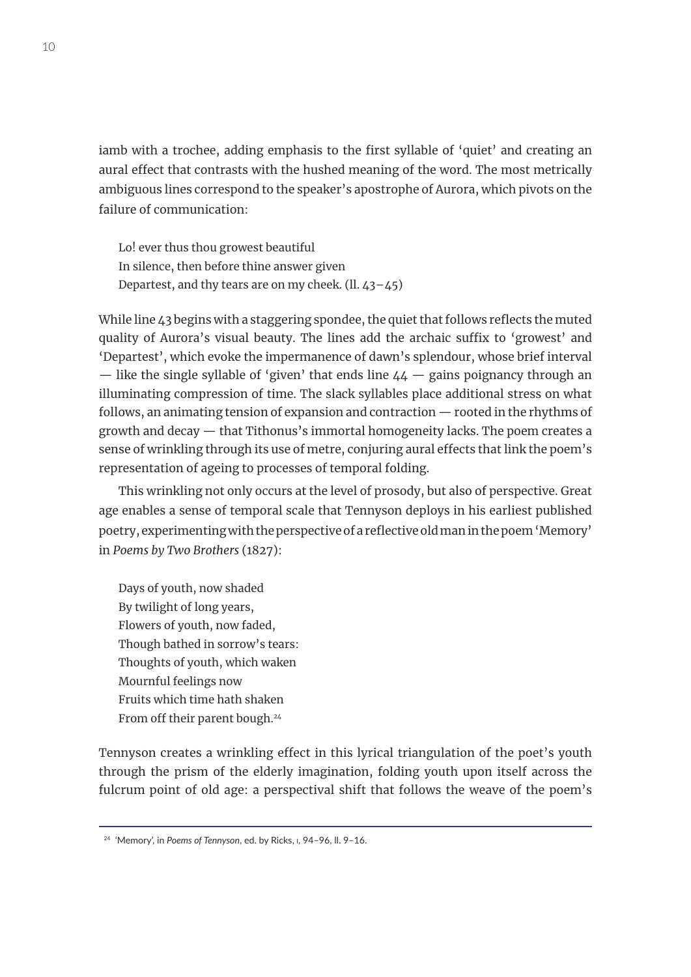iamb with a trochee, adding emphasis to the first syllable of 'quiet' and creating an aural effect that contrasts with the hushed meaning of the word. The most metrically ambiguous lines correspond to the speaker's apostrophe of Aurora, which pivots on the failure of communication:

Lo! ever thus thou growest beautiful In silence, then before thine answer given Departest, and thy tears are on my cheek. (ll. 43–45)

While line 43 begins with a staggering spondee, the quiet that follows reflects the muted quality of Aurora's visual beauty. The lines add the archaic suffix to 'growest' and 'Departest', which evoke the impermanence of dawn's splendour, whose brief interval — like the single syllable of 'given' that ends line  $44$  — gains poignancy through an illuminating compression of time. The slack syllables place additional stress on what follows, an animating tension of expansion and contraction — rooted in the rhythms of growth and decay — that Tithonus's immortal homogeneity lacks. The poem creates a sense of wrinkling through its use of metre, conjuring aural effects that link the poem's representation of ageing to processes of temporal folding.

This wrinkling not only occurs at the level of prosody, but also of perspective. Great age enables a sense of temporal scale that Tennyson deploys in his earliest published poetry, experimenting with the perspective of a reflective old man in the poem 'Memory' in *Poems by Two Brothers* (1827):

Days of youth, now shaded By twilight of long years, Flowers of youth, now faded, Though bathed in sorrow's tears: Thoughts of youth, which waken Mournful feelings now Fruits which time hath shaken From off their parent bough.<sup>24</sup>

Tennyson creates a wrinkling effect in this lyrical triangulation of the poet's youth through the prism of the elderly imagination, folding youth upon itself across the fulcrum point of old age: a perspectival shift that follows the weave of the poem's

<sup>24</sup> 'Memory', in *Poems of Tennyson*, ed. by Ricks, i, 94–96, ll. 9–16.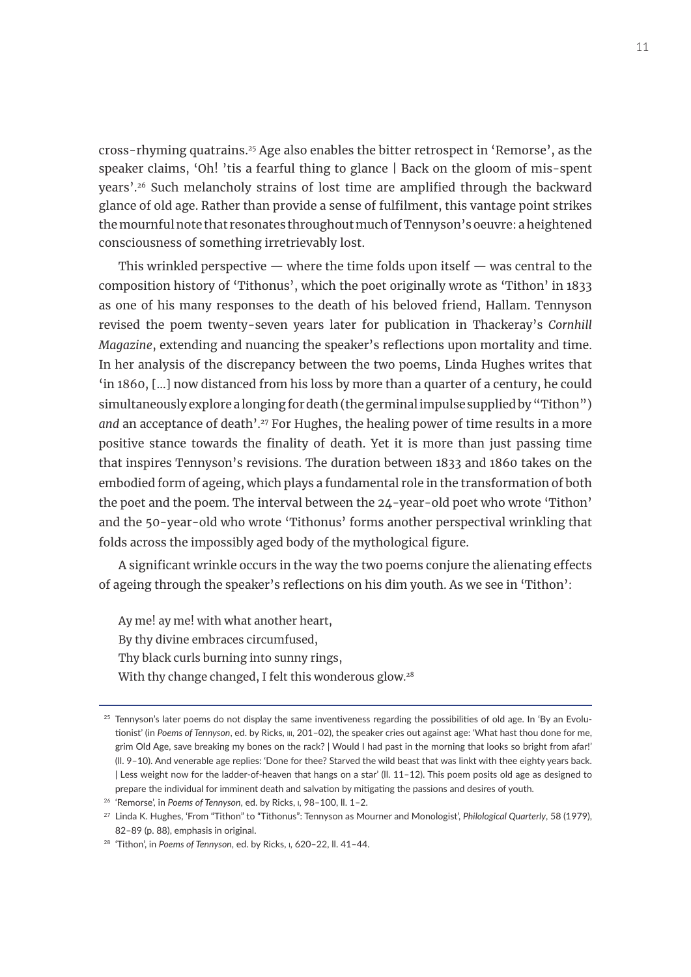cross-rhyming quatrains.25 Age also enables the bitter retrospect in 'Remorse', as the speaker claims, 'Oh! 'tis a fearful thing to glance | Back on the gloom of mis-spent years'.26 Such melancholy strains of lost time are amplified through the backward glance of old age. Rather than provide a sense of fulfilment, this vantage point strikes the mournful note that resonates throughout much of Tennyson's oeuvre: a heightened consciousness of something irretrievably lost.

This wrinkled perspective  $-$  where the time folds upon itself  $-$  was central to the composition history of 'Tithonus', which the poet originally wrote as 'Tithon' in 1833 as one of his many responses to the death of his beloved friend, Hallam. Tennyson revised the poem twenty-seven years later for publication in Thackeray's *Cornhill Magazine*, extending and nuancing the speaker's reflections upon mortality and time. In her analysis of the discrepancy between the two poems, Linda Hughes writes that 'in 1860, […] now distanced from his loss by more than a quarter of a century, he could simultaneously explore a longing for death (the germinal impulse supplied by "Tithon") and an acceptance of death'.<sup>27</sup> For Hughes, the healing power of time results in a more positive stance towards the finality of death. Yet it is more than just passing time that inspires Tennyson's revisions. The duration between 1833 and 1860 takes on the embodied form of ageing, which plays a fundamental role in the transformation of both the poet and the poem. The interval between the 24-year-old poet who wrote 'Tithon' and the 50-year-old who wrote 'Tithonus' forms another perspectival wrinkling that folds across the impossibly aged body of the mythological figure.

A significant wrinkle occurs in the way the two poems conjure the alienating effects of ageing through the speaker's reflections on his dim youth. As we see in 'Tithon':

Ay me! ay me! with what another heart, By thy divine embraces circumfused, Thy black curls burning into sunny rings, With thy change changed, I felt this wonderous glow.<sup>28</sup>

 $25$  Tennyson's later poems do not display the same inventiveness regarding the possibilities of old age. In 'By an Evolutionist' (in *Poems of Tennyson*, ed. by Ricks, iii, 201–02), the speaker cries out against age: 'What hast thou done for me, grim Old Age, save breaking my bones on the rack? | Would I had past in the morning that looks so bright from afar!' (ll. 9–10). And venerable age replies: 'Done for thee? Starved the wild beast that was linkt with thee eighty years back. | Less weight now for the ladder-of-heaven that hangs on a star' (ll. 11–12). This poem posits old age as designed to prepare the individual for imminent death and salvation by mitigating the passions and desires of youth.

<sup>26</sup> 'Remorse', in *Poems of Tennyson*, ed. by Ricks, i, 98–100, ll. 1–2.

<sup>27</sup> Linda K. Hughes, 'From "Tithon" to "Tithonus": Tennyson as Mourner and Monologist', *Philological Quarterly*, 58 (1979), 82–89 (p. 88), emphasis in original.

<sup>28</sup> 'Tithon', in *Poems of Tennyson*, ed. by Ricks, i, 620–22, ll. 41–44.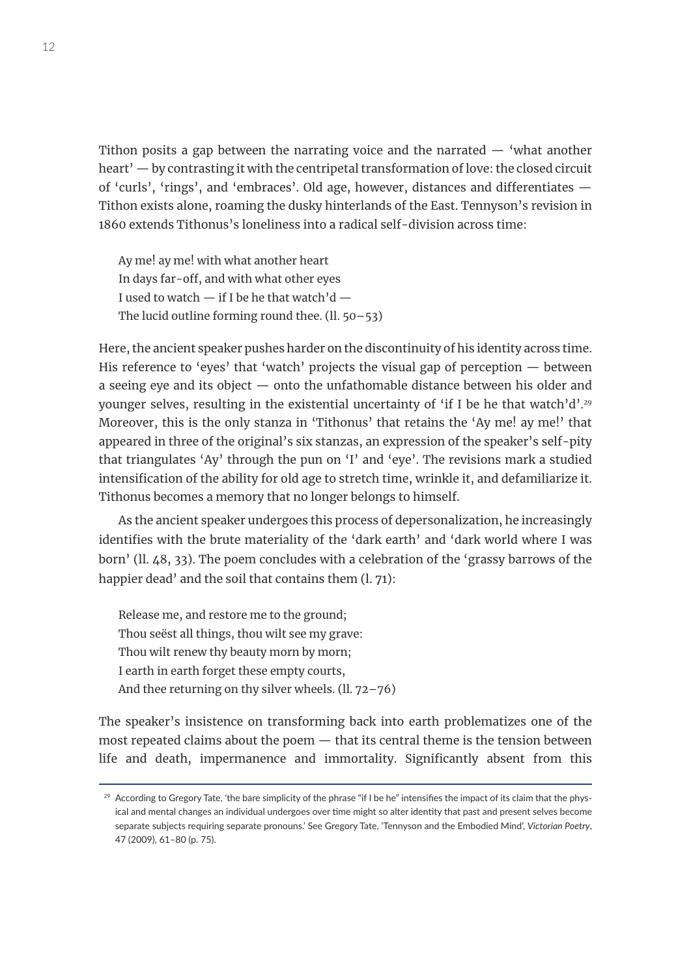Tithon posits a gap between the narrating voice and the narrated — 'what another heart' — by contrasting it with the centripetal transformation of love: the closed circuit of 'curls', 'rings', and 'embraces'. Old age, however, distances and differentiates — Tithon exists alone, roaming the dusky hinterlands of the East. Tennyson's revision in 1860 extends Tithonus's loneliness into a radical self-division across time:

Ay me! ay me! with what another heart In days far-off, and with what other eyes I used to watch  $-$  if I be he that watch'd  $-$ The lucid outline forming round thee.  $(11.50-53)$ 

Here, the ancient speaker pushes harder on the discontinuity of his identity across time. His reference to 'eyes' that 'watch' projects the visual gap of perception — between a seeing eye and its object — onto the unfathomable distance between his older and younger selves, resulting in the existential uncertainty of 'if I be he that watch'd'.<sup>29</sup> Moreover, this is the only stanza in 'Tithonus' that retains the 'Ay me! ay me!' that appeared in three of the original's six stanzas, an expression of the speaker's self-pity that triangulates 'Ay' through the pun on 'I' and 'eye'. The revisions mark a studied intensification of the ability for old age to stretch time, wrinkle it, and defamiliarize it. Tithonus becomes a memory that no longer belongs to himself.

As the ancient speaker undergoes this process of depersonalization, he increasingly identifies with the brute materiality of the 'dark earth' and 'dark world where I was born' (ll. 48, 33). The poem concludes with a celebration of the 'grassy barrows of the happier dead' and the soil that contains them (l. 71):

Release me, and restore me to the ground; Thou seëst all things, thou wilt see my grave: Thou wilt renew thy beauty morn by morn; I earth in earth forget these empty courts, And thee returning on thy silver wheels. (ll. 72–76)

The speaker's insistence on transforming back into earth problematizes one of the most repeated claims about the poem — that its central theme is the tension between life and death, impermanence and immortality. Significantly absent from this

<sup>&</sup>lt;sup>29</sup> According to Gregory Tate, 'the bare simplicity of the phrase "if I be he" intensifies the impact of its claim that the physical and mental changes an individual undergoes over time might so alter identity that past and present selves become separate subjects requiring separate pronouns.' See Gregory Tate, 'Tennyson and the Embodied Mind', *Victorian Poetry*, 47 (2009), 61–80 (p. 75).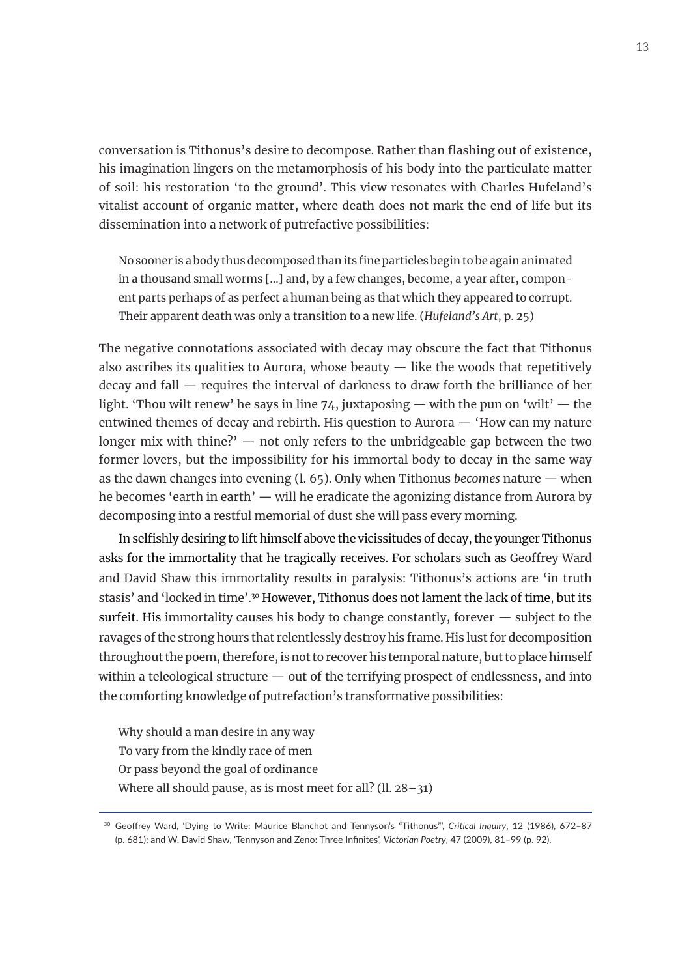conversation is Tithonus's desire to decompose. Rather than flashing out of existence, his imagination lingers on the metamorphosis of his body into the particulate matter of soil: his restoration 'to the ground'. This view resonates with Charles Hufeland's vitalist account of organic matter, where death does not mark the end of life but its dissemination into a network of putrefactive possibilities:

No sooner is a body thus decomposed than its fine particles begin to be again animated in a thousand small worms […] and, by a few changes, become, a year after, component parts perhaps of as perfect a human being as that which they appeared to corrupt. Their apparent death was only a transition to a new life. (*Hufeland's Art*, p. 25)

The negative connotations associated with decay may obscure the fact that Tithonus also ascribes its qualities to Aurora, whose beauty  $-$  like the woods that repetitively decay and fall — requires the interval of darkness to draw forth the brilliance of her light. 'Thou wilt renew' he says in line 74, juxtaposing — with the pun on 'wilt' — the entwined themes of decay and rebirth. His question to Aurora  $-$  'How can my nature longer mix with thine?'  $-$  not only refers to the unbridgeable gap between the two former lovers, but the impossibility for his immortal body to decay in the same way as the dawn changes into evening (l. 65). Only when Tithonus *becomes* nature — when he becomes 'earth in earth' — will he eradicate the agonizing distance from Aurora by decomposing into a restful memorial of dust she will pass every morning.

In selfishly desiring to lift himself above the vicissitudes of decay, the younger Tithonus asks for the immortality that he tragically receives. For scholars such as Geoffrey Ward and David Shaw this immortality results in paralysis: Tithonus's actions are 'in truth stasis' and 'locked in time'.<sup>30</sup> However, Tithonus does not lament the lack of time, but its surfeit. His immortality causes his body to change constantly, forever — subject to the ravages of the strong hours that relentlessly destroy his frame. His lust for decomposition throughout the poem, therefore, is not to recover his temporal nature, but to place himself within a teleological structure  $-$  out of the terrifying prospect of endlessness, and into the comforting knowledge of putrefaction's transformative possibilities:

Why should a man desire in any way To vary from the kindly race of men Or pass beyond the goal of ordinance Where all should pause, as is most meet for all? (ll. 28-31)

<sup>30</sup> Geoffrey Ward, 'Dying to Write: Maurice Blanchot and Tennyson's "Tithonus"', *Critical Inquiry*, 12 (1986), 672–87 (p. 681); and W. David Shaw, 'Tennyson and Zeno: Three Infinites', *Victorian Poetry*, 47 (2009), 81–99 (p. 92).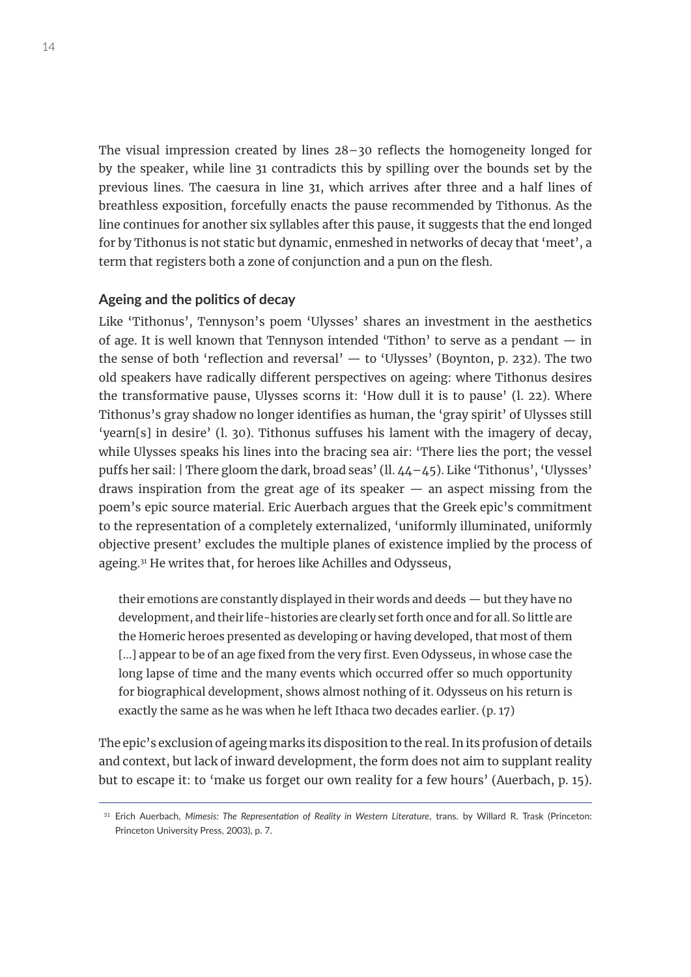The visual impression created by lines 28–30 reflects the homogeneity longed for by the speaker, while line 31 contradicts this by spilling over the bounds set by the previous lines. The caesura in line 31, which arrives after three and a half lines of breathless exposition, forcefully enacts the pause recommended by Tithonus. As the line continues for another six syllables after this pause, it suggests that the end longed for by Tithonus is not static but dynamic, enmeshed in networks of decay that 'meet', a term that registers both a zone of conjunction and a pun on the flesh.

## **Ageing and the politics of decay**

Like 'Tithonus', Tennyson's poem 'Ulysses' shares an investment in the aesthetics of age. It is well known that Tennyson intended 'Tithon' to serve as a pendant  $-$  in the sense of both 'reflection and reversal'  $-$  to 'Ulysses' (Boynton, p. 232). The two old speakers have radically different perspectives on ageing: where Tithonus desires the transformative pause, Ulysses scorns it: 'How dull it is to pause' (l. 22). Where Tithonus's gray shadow no longer identifies as human, the 'gray spirit' of Ulysses still 'yearn[s] in desire' (l. 30). Tithonus suffuses his lament with the imagery of decay, while Ulysses speaks his lines into the bracing sea air: 'There lies the port; the vessel puffs her sail: | There gloom the dark, broad seas' (ll. 44–45). Like 'Tithonus', 'Ulysses' draws inspiration from the great age of its speaker  $-$  an aspect missing from the poem's epic source material. Eric Auerbach argues that the Greek epic's commitment to the representation of a completely externalized, 'uniformly illuminated, uniformly objective present' excludes the multiple planes of existence implied by the process of ageing.31 He writes that, for heroes like Achilles and Odysseus,

their emotions are constantly displayed in their words and deeds — but they have no development, and their life-histories are clearly set forth once and for all. So little are the Homeric heroes presented as developing or having developed, that most of them [...] appear to be of an age fixed from the very first. Even Odysseus, in whose case the long lapse of time and the many events which occurred offer so much opportunity for biographical development, shows almost nothing of it. Odysseus on his return is exactly the same as he was when he left Ithaca two decades earlier. (p. 17)

The epic's exclusion of ageing marks its disposition to the real. In its profusion of details and context, but lack of inward development, the form does not aim to supplant reality but to escape it: to 'make us forget our own reality for a few hours' (Auerbach, p. 15).

<sup>&</sup>lt;sup>31</sup> Erich Auerbach, *Mimesis: The Representation of Reality in Western Literature*, trans. by Willard R. Trask (Princeton: Princeton University Press, 2003), p. 7.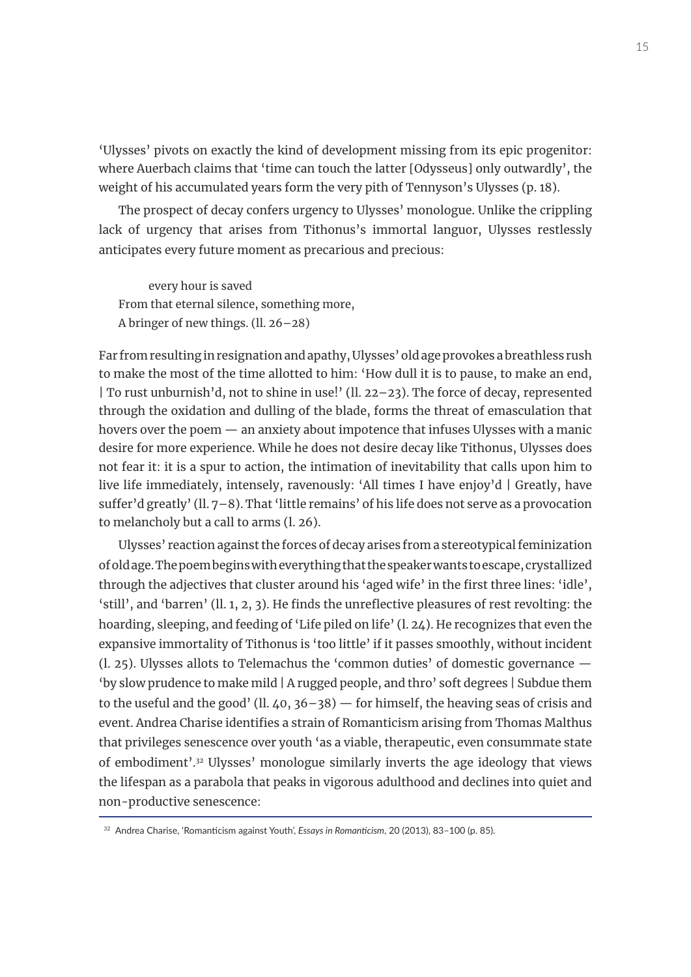'Ulysses' pivots on exactly the kind of development missing from its epic progenitor: where Auerbach claims that 'time can touch the latter [Odysseus] only outwardly', the weight of his accumulated years form the very pith of Tennyson's Ulysses (p. 18).

The prospect of decay confers urgency to Ulysses' monologue. Unlike the crippling lack of urgency that arises from Tithonus's immortal languor, Ulysses restlessly anticipates every future moment as precarious and precious:

every hour is saved From that eternal silence, something more, A bringer of new things. (ll. 26–28)

Far from resulting in resignation and apathy, Ulysses' old age provokes a breathless rush to make the most of the time allotted to him: 'How dull it is to pause, to make an end, | To rust unburnish'd, not to shine in use!' (ll. 22–23). The force of decay, represented through the oxidation and dulling of the blade, forms the threat of emasculation that hovers over the poem — an anxiety about impotence that infuses Ulysses with a manic desire for more experience. While he does not desire decay like Tithonus, Ulysses does not fear it: it is a spur to action, the intimation of inevitability that calls upon him to live life immediately, intensely, ravenously: 'All times I have enjoy'd | Greatly, have suffer'd greatly' (ll. 7–8). That 'little remains' of his life does not serve as a provocation to melancholy but a call to arms (l. 26).

Ulysses' reaction against the forces of decay arises from a stereotypical feminization of old age. The poem begins with everything that the speaker wants to escape, crystallized through the adjectives that cluster around his 'aged wife' in the first three lines: 'idle', 'still', and 'barren' (ll. 1, 2, 3). He finds the unreflective pleasures of rest revolting: the hoarding, sleeping, and feeding of 'Life piled on life' (l. 24). He recognizes that even the expansive immortality of Tithonus is 'too little' if it passes smoothly, without incident (l. 25). Ulysses allots to Telemachus the 'common duties' of domestic governance — 'by slow prudence to make mild | A rugged people, and thro' soft degrees | Subdue them to the useful and the good' (ll.  $40, 36-38$ ) – for himself, the heaving seas of crisis and event. Andrea Charise identifies a strain of Romanticism arising from Thomas Malthus that privileges senescence over youth 'as a viable, therapeutic, even consummate state of embodiment'.32 Ulysses' monologue similarly inverts the age ideology that views the lifespan as a parabola that peaks in vigorous adulthood and declines into quiet and non-productive senescence:

<sup>32</sup> Andrea Charise, 'Romanticism against Youth', *Essays in Romanticism*, 20 (2013), 83–100 (p. 85).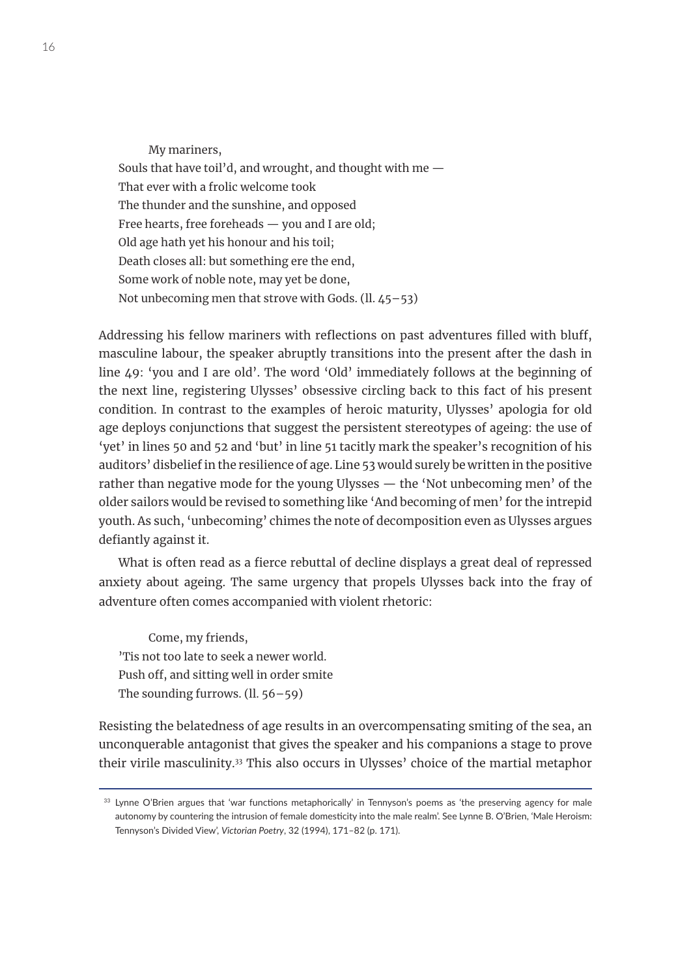My mariners, Souls that have toil'd, and wrought, and thought with me — That ever with a frolic welcome took The thunder and the sunshine, and opposed Free hearts, free foreheads — you and I are old; Old age hath yet his honour and his toil; Death closes all: but something ere the end, Some work of noble note, may yet be done, Not unbecoming men that strove with Gods. (ll. 45–53)

Addressing his fellow mariners with reflections on past adventures filled with bluff, masculine labour, the speaker abruptly transitions into the present after the dash in line 49: 'you and I are old'. The word 'Old' immediately follows at the beginning of the next line, registering Ulysses' obsessive circling back to this fact of his present condition. In contrast to the examples of heroic maturity, Ulysses' apologia for old age deploys conjunctions that suggest the persistent stereotypes of ageing: the use of 'yet' in lines 50 and 52 and 'but' in line 51 tacitly mark the speaker's recognition of his auditors' disbelief in the resilience of age. Line 53 would surely be written in the positive rather than negative mode for the young Ulysses — the 'Not unbecoming men' of the older sailors would be revised to something like 'And becoming of men' for the intrepid youth. As such, 'unbecoming' chimes the note of decomposition even as Ulysses argues defiantly against it.

What is often read as a fierce rebuttal of decline displays a great deal of repressed anxiety about ageing. The same urgency that propels Ulysses back into the fray of adventure often comes accompanied with violent rhetoric:

Come, my friends, 'Tis not too late to seek a newer world. Push off, and sitting well in order smite The sounding furrows.  $(11.56 - 59)$ 

Resisting the belatedness of age results in an overcompensating smiting of the sea, an unconquerable antagonist that gives the speaker and his companions a stage to prove their virile masculinity.33 This also occurs in Ulysses' choice of the martial metaphor

<sup>&</sup>lt;sup>33</sup> Lynne O'Brien argues that 'war functions metaphorically' in Tennyson's poems as 'the preserving agency for male autonomy by countering the intrusion of female domesticity into the male realm'. See Lynne B. O'Brien, 'Male Heroism: Tennyson's Divided View', *Victorian Poetry*, 32 (1994), 171–82 (p. 171).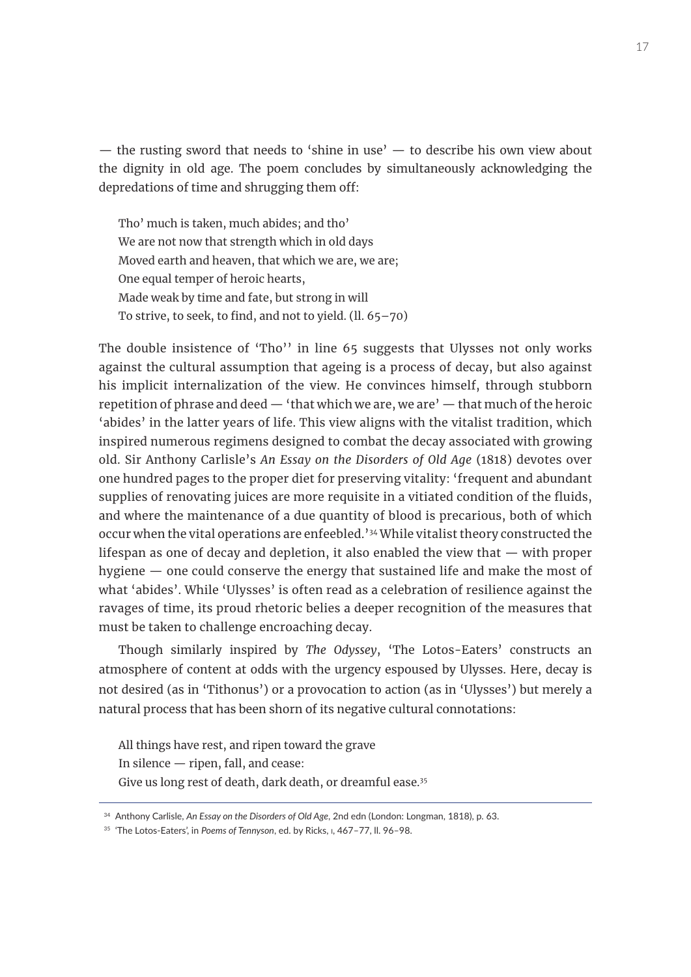— the rusting sword that needs to 'shine in use' — to describe his own view about the dignity in old age. The poem concludes by simultaneously acknowledging the depredations of time and shrugging them off:

Tho' much is taken, much abides; and tho' We are not now that strength which in old days Moved earth and heaven, that which we are, we are; One equal temper of heroic hearts, Made weak by time and fate, but strong in will To strive, to seek, to find, and not to yield.  $(ll. 65-70)$ 

The double insistence of 'Tho'' in line 65 suggests that Ulysses not only works against the cultural assumption that ageing is a process of decay, but also against his implicit internalization of the view. He convinces himself, through stubborn repetition of phrase and deed  $-$  'that which we are, we are'  $-$  that much of the heroic 'abides' in the latter years of life. This view aligns with the vitalist tradition, which inspired numerous regimens designed to combat the decay associated with growing old. Sir Anthony Carlisle's *An Essay on the Disorders of Old Age* (1818) devotes over one hundred pages to the proper diet for preserving vitality: 'frequent and abundant supplies of renovating juices are more requisite in a vitiated condition of the fluids, and where the maintenance of a due quantity of blood is precarious, both of which occur when the vital operations are enfeebled.'34 While vitalist theory constructed the lifespan as one of decay and depletion, it also enabled the view that — with proper hygiene — one could conserve the energy that sustained life and make the most of what 'abides'. While 'Ulysses' is often read as a celebration of resilience against the ravages of time, its proud rhetoric belies a deeper recognition of the measures that must be taken to challenge encroaching decay.

Though similarly inspired by *The Odyssey*, 'The Lotos-Eaters' constructs an atmosphere of content at odds with the urgency espoused by Ulysses. Here, decay is not desired (as in 'Tithonus') or a provocation to action (as in 'Ulysses') but merely a natural process that has been shorn of its negative cultural connotations:

All things have rest, and ripen toward the grave In silence — ripen, fall, and cease: Give us long rest of death, dark death, or dreamful ease.35

<sup>34</sup> Anthony Carlisle, *An Essay on the Disorders of Old Age*, 2nd edn (London: Longman, 1818), p. 63.

<sup>35</sup> 'The Lotos-Eaters', in *Poems of Tennyson*, ed. by Ricks, i, 467–77, ll. 96–98.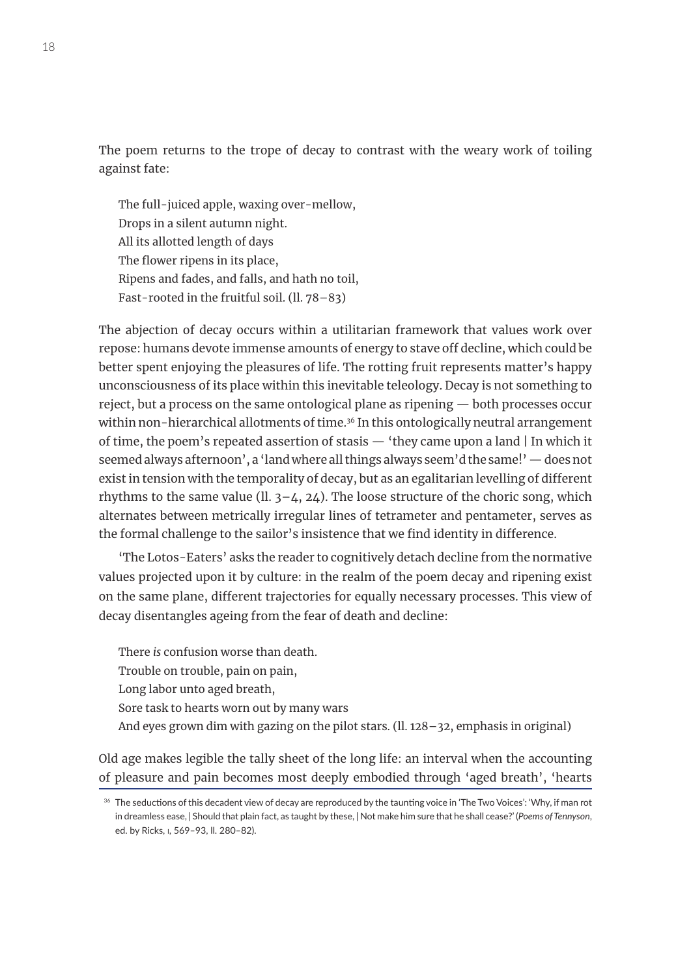The poem returns to the trope of decay to contrast with the weary work of toiling against fate:

The full-juiced apple, waxing over-mellow, Drops in a silent autumn night. All its allotted length of days The flower ripens in its place, Ripens and fades, and falls, and hath no toil, Fast-rooted in the fruitful soil. (ll. 78–83)

The abjection of decay occurs within a utilitarian framework that values work over repose: humans devote immense amounts of energy to stave off decline, which could be better spent enjoying the pleasures of life. The rotting fruit represents matter's happy unconsciousness of its place within this inevitable teleology. Decay is not something to reject, but a process on the same ontological plane as ripening — both processes occur within non-hierarchical allotments of time.<sup>36</sup> In this ontologically neutral arrangement of time, the poem's repeated assertion of stasis — 'they came upon a land | In which it seemed always afternoon', a 'land where all things always seem'd the same!' — does not exist in tension with the temporality of decay, but as an egalitarian levelling of different rhythms to the same value ( $\text{ll. } 3-4$ ,  $24$ ). The loose structure of the choric song, which alternates between metrically irregular lines of tetrameter and pentameter, serves as the formal challenge to the sailor's insistence that we find identity in difference.

'The Lotos-Eaters' asks the reader to cognitively detach decline from the normative values projected upon it by culture: in the realm of the poem decay and ripening exist on the same plane, different trajectories for equally necessary processes. This view of decay disentangles ageing from the fear of death and decline:

There *is* confusion worse than death. Trouble on trouble, pain on pain, Long labor unto aged breath, Sore task to hearts worn out by many wars And eyes grown dim with gazing on the pilot stars.  $(11.128 - 32,$  emphasis in original)

Old age makes legible the tally sheet of the long life: an interval when the accounting of pleasure and pain becomes most deeply embodied through 'aged breath', 'hearts

<sup>&</sup>lt;sup>36</sup> The seductions of this decadent view of decay are reproduced by the taunting voice in 'The Two Voices': 'Why, if man rot in dreamless ease, | Should that plain fact, as taught by these, | Not make him sure that he shall cease?' (*Poems of Tennyson*, ed. by Ricks, i, 569–93, ll. 280–82).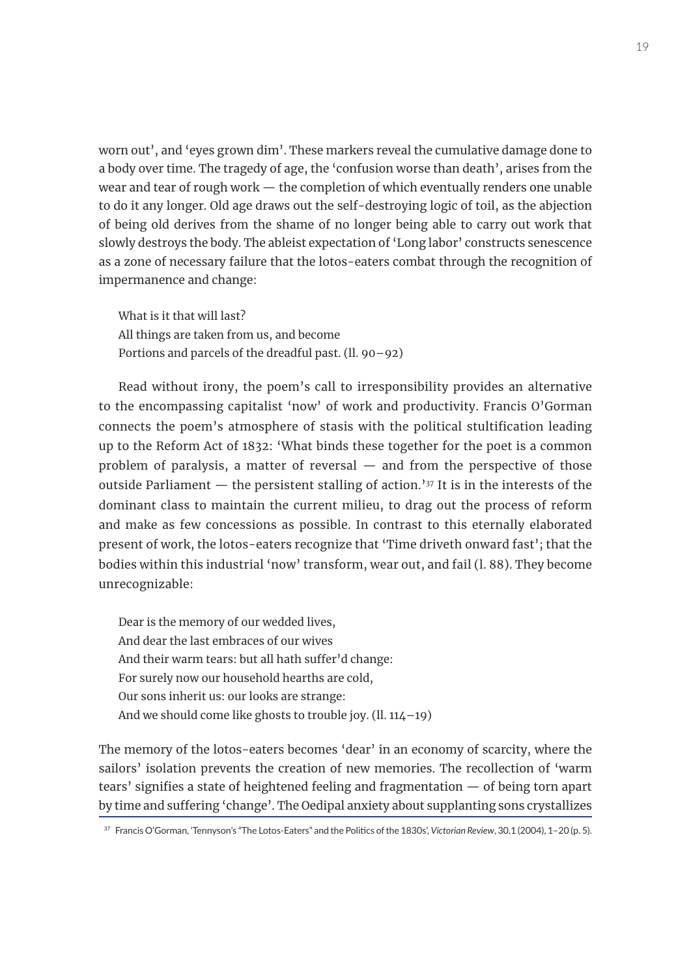worn out', and 'eyes grown dim'. These markers reveal the cumulative damage done to a body over time. The tragedy of age, the 'confusion worse than death', arises from the wear and tear of rough work — the completion of which eventually renders one unable to do it any longer. Old age draws out the self-destroying logic of toil, as the abjection of being old derives from the shame of no longer being able to carry out work that slowly destroys the body. The ableist expectation of 'Long labor' constructs senescence as a zone of necessary failure that the lotos-eaters combat through the recognition of impermanence and change:

What is it that will last? All things are taken from us, and become Portions and parcels of the dreadful past. (ll. 90–92)

Read without irony, the poem's call to irresponsibility provides an alternative to the encompassing capitalist 'now' of work and productivity. Francis O'Gorman connects the poem's atmosphere of stasis with the political stultification leading up to the Reform Act of 1832: 'What binds these together for the poet is a common problem of paralysis, a matter of reversal — and from the perspective of those outside Parliament  $-$  the persistent stalling of action.<sup>'37</sup> It is in the interests of the dominant class to maintain the current milieu, to drag out the process of reform and make as few concessions as possible. In contrast to this eternally elaborated present of work, the lotos-eaters recognize that 'Time driveth onward fast'; that the bodies within this industrial 'now' transform, wear out, and fail (l. 88). They become unrecognizable:

Dear is the memory of our wedded lives, And dear the last embraces of our wives And their warm tears: but all hath suffer'd change: For surely now our household hearths are cold, Our sons inherit us: our looks are strange: And we should come like ghosts to trouble joy. (ll. 114–19)

The memory of the lotos-eaters becomes 'dear' in an economy of scarcity, where the sailors' isolation prevents the creation of new memories. The recollection of 'warm tears' signifies a state of heightened feeling and fragmentation — of being torn apart by time and suffering 'change'. The Oedipal anxiety about supplanting sons crystallizes

<sup>37</sup> Francis O'Gorman, 'Tennyson's "The Lotos-Eaters" and the Politics of the 1830s', *Victorian Review*, 30.1 (2004), 1–20 (p. 5).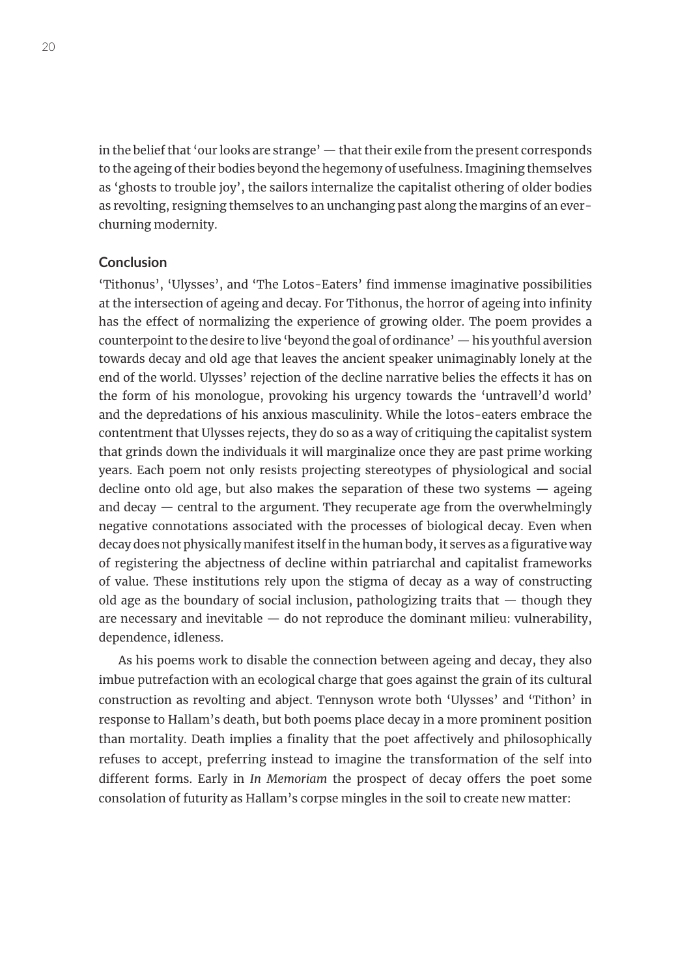in the belief that 'our looks are strange' — that their exile from the present corresponds to the ageing of their bodies beyond the hegemony of usefulness. Imagining themselves as 'ghosts to trouble joy', the sailors internalize the capitalist othering of older bodies as revolting, resigning themselves to an unchanging past along the margins of an everchurning modernity.

## **Conclusion**

'Tithonus', 'Ulysses', and 'The Lotos-Eaters' find immense imaginative possibilities at the intersection of ageing and decay. For Tithonus, the horror of ageing into infinity has the effect of normalizing the experience of growing older. The poem provides a counterpoint to the desire to live 'beyond the goal of ordinance' — his youthful aversion towards decay and old age that leaves the ancient speaker unimaginably lonely at the end of the world. Ulysses' rejection of the decline narrative belies the effects it has on the form of his monologue, provoking his urgency towards the 'untravell'd world' and the depredations of his anxious masculinity. While the lotos-eaters embrace the contentment that Ulysses rejects, they do so as a way of critiquing the capitalist system that grinds down the individuals it will marginalize once they are past prime working years. Each poem not only resists projecting stereotypes of physiological and social decline onto old age, but also makes the separation of these two systems  $-$  ageing and decay — central to the argument. They recuperate age from the overwhelmingly negative connotations associated with the processes of biological decay. Even when decay does not physically manifest itself in the human body, it serves as a figurative way of registering the abjectness of decline within patriarchal and capitalist frameworks of value. These institutions rely upon the stigma of decay as a way of constructing old age as the boundary of social inclusion, pathologizing traits that  $-$  though they are necessary and inevitable — do not reproduce the dominant milieu: vulnerability, dependence, idleness.

As his poems work to disable the connection between ageing and decay, they also imbue putrefaction with an ecological charge that goes against the grain of its cultural construction as revolting and abject. Tennyson wrote both 'Ulysses' and 'Tithon' in response to Hallam's death, but both poems place decay in a more prominent position than mortality. Death implies a finality that the poet affectively and philosophically refuses to accept, preferring instead to imagine the transformation of the self into different forms. Early in *In Memoriam* the prospect of decay offers the poet some consolation of futurity as Hallam's corpse mingles in the soil to create new matter: